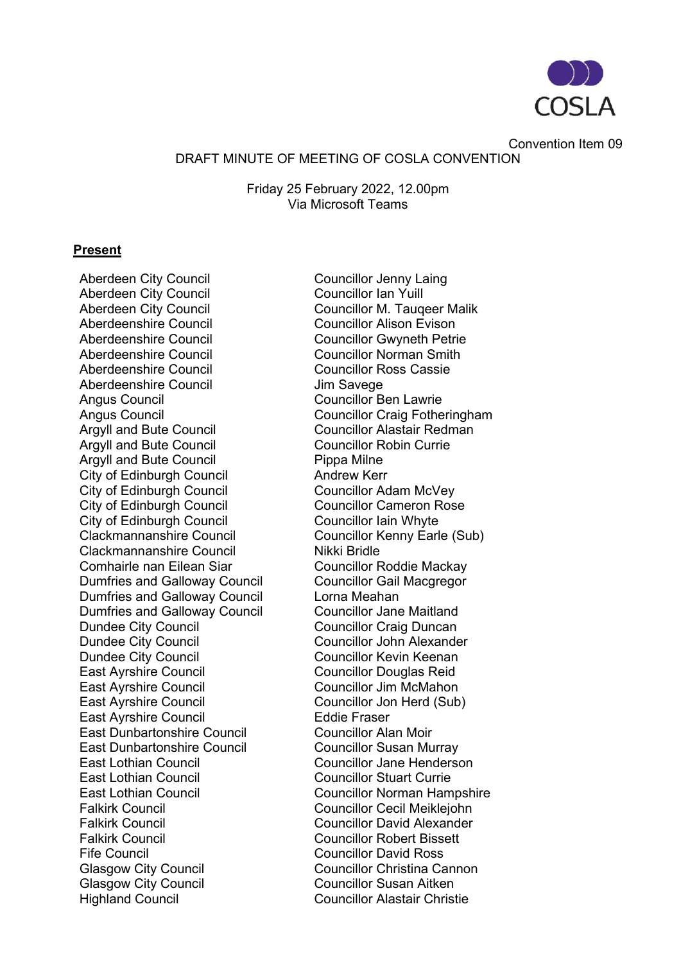

Convention Item 09

DRAFT MINUTE OF MEETING OF COSLA CONVENTION

Friday 25 February 2022, 12.00pm Via Microsoft Teams

#### **Present**

Aberdeen City Council and Councillor Jenny Laing<br>Aberdeen City Council and Councillor Ian Yuill Aberdeen City Council Aberdeen City Council **Councillor M. Tauqeer Malik**<br>Aberdeenshire Council **Councillor Alison Evison** Aberdeenshire Council Councillor Gwyneth Petrie Aberdeenshire Council **Councillor Norman Smith** Aberdeenshire Council Councillor Ross Cassie Aberdeenshire Council **Aberdeenshire** Council Angus Council **Councillor Ben Lawrie** Argyll and Bute Council Councillor Alastair Redman<br>Argyll and Bute Council Councillor Robin Currie Argyll and Bute Council Argyll and Bute Council Pippa Milne City of Edinburgh Council **Andrew Kerr** City of Edinburgh Council Councillor Adam McVey City of Edinburgh Council Councillor Cameron Rose City of Edinburgh Council **Council Councillor Iain Whyte**<br>Clackmannanshire Council Councillor Kenny Earl Clackmannanshire Council Nikki Bridle Comhairle nan Eilean Siar Councillor Roddie Mackay Dumfries and Galloway Council Councillor Gail Macgregor<br>
Dumfries and Galloway Council Corna Meahan Dumfries and Galloway Council Lorna Meahan<br>
Dumfries and Galloway Council Councillor Jane Maitland Dumfries and Galloway Council Dundee City Council **Councillor Craig Duncan**<br>
Dundee City Council **Councillor John Alexande** Dundee City Council **Councillor John Alexander**<br>
Dundee City Council Councillor Kevin Keenan East Ayrshire Council **Councillor Douglas Reid** East Ayrshire Council Councillor Jim McMahon East Ayrshire Council **Councillor Councillor Jon Herd (Sub)** East Ayrshire Council **Eddie Fraser** East Dunbartonshire Council Councillor Alan Moir East Dunbartonshire Council Councillor Susan Murray East Lothian Council **Councillor** Councillor Jane Henderson **East Lothian Council Council Councillor Stuart Currie** Falkirk Council **Council** Councillor Cecil Meikleichn Falkirk Council Councillor David Alexander Falkirk Council Councillor Robert Bissett Fife Council **Council** Councillor David Ross Glasgow City Council Councillor Christina Cannon Glasgow City Council Highland Council Councillor Alastair Christie

**Councillor Alison Evison** Angus Council **Councillor Craig Fotheringham** Councillor Kenny Earle (Sub) Councillor Kevin Keenan East Lothian Council **Councillor Norman Hampshire**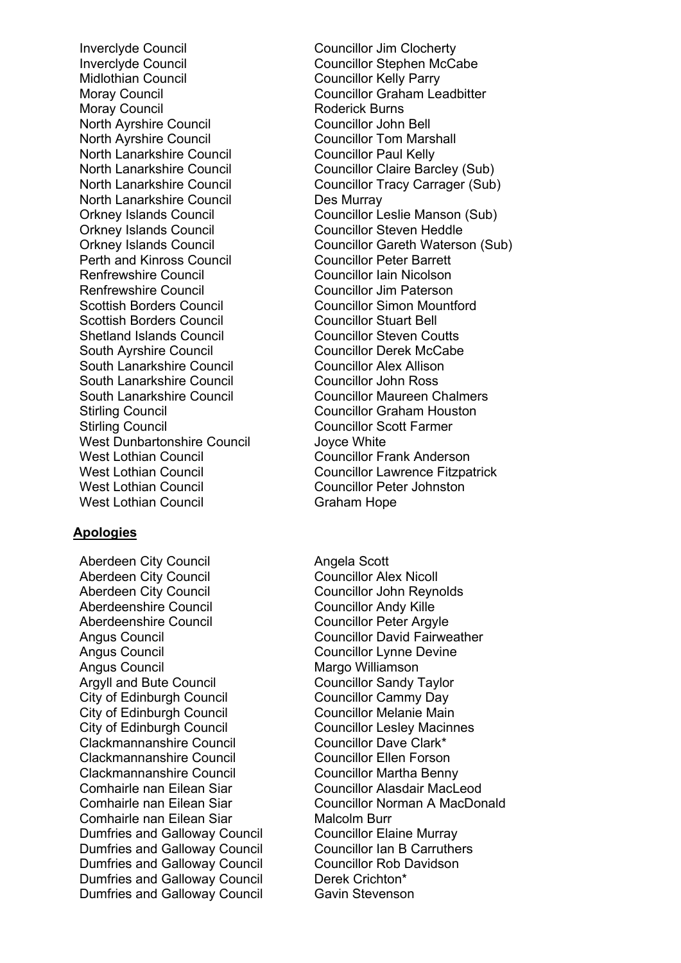Inverclyde Council and Councillor Jim Clocherty<br>
Inverclyde Council and Councillor Stephen McCa Midlothian Council and Councillor Kelly Parry<br>Moray Council and Councillor Graham Le Moray Council<br>
North Avrshire Council<br>
North Avrshire Council<br>
Councillor John Bell North Ayrshire Council North Ayrshire Council Councillor Tom Marshall North Lanarkshire Council **Councillor Paul Kelly**<br>
North Lanarkshire Council **Councillor Claire Bar** North Lanarkshire Council **Des Murray** Orkney Islands Council **Council Councillor Steven Heddle**<br>
Orkney Islands Council **Councillor Gareth Waters** Perth and Kinross Council **Councillor Peter Barrett**<br>
Renfrewshire Council **Councillor Iain Nicolson** Renfrewshire Council **Councillor Councillor Jim Paterson** Scottish Borders Council Councillor Simon Mountford<br>Scottish Borders Council Councillor Stuart Bell Scottish Borders Council **Councillor Stuart Bell**<br>
Shetland Islands Council **Councillor Steven Coutts** Shetland Islands Council South Ayrshire Council Councillor Derek McCabe South Lanarkshire Council **Councillor Alex Allison**<br>South Lanarkshire Council **Councillor John Ross** South Lanarkshire Council Stirling Council Councillor Graham Houston Stirling Council Councillor Scott Farmer West Dunbartonshire Council **Council** Unite White<br>
West Lothian Council **Council** Councillor Fr West Lothian Council Graham Hope

#### **Apologies**

Aberdeen City Council **Angela Scott** Aberdeen City Council Councillor Alex Nicoll Aberdeen City Council<br>
Aberdeenshire Council<br>
Councillor Andy Kille Aberdeenshire Council Aberdeenshire Council Councillor Peter Argyle Angus Council **Council** Councillor David Fairweather Angus Council **Councillor Lynne Devine** Angus Council Margo Williamson City of Edinburgh Council Councillor Cammy Day<br>City of Edinburgh Council Councillor Melanie Main City of Edinburgh Council City of Edinburgh Council Councillor Lesley Macinnes Clackmannanshire Council Councillor Dave Clark\*<br>Clackmannanshire Council Councillor Ellen Forson Clackmannanshire Council Clackmannanshire Council Councillor Martha Benny Comhairle nan Eilean Siar Councillor Alasdair MacLeod Comhairle nan Eilean Siar **Malcolm Burr** Dumfries and Galloway Council Councillor Elaine Murray Dumfries and Galloway Council Councillor Ian B Carruthers Dumfries and Galloway Council Councillor Rob Davidson Dumfries and Galloway Council **Derek Crichton\***<br>
Dumfries and Galloway Council **Cavin Stevenson** Dumfries and Galloway Council

Councillor Stephen McCabe Councillor Graham Leadbitter<br>Roderick Burns Councillor Claire Barcley (Sub) North Lanarkshire Council Councillor Tracy Carrager (Sub) Orkney Islands Council Councillor Leslie Manson (Sub) Orkney Islands Council **Council Councillor Gareth Waterson (Sub)**<br>
Perth and Kinross Council **Councillor Peter Barrett** Councillor Iain Nicolson South Lanarkshire Council **Councillor Maureen Chalmers Councillor Frank Anderson** West Lothian Council **Council Councillor Lawrence Fitzpatrick**<br>
West Lothian Council<br>
Councillor Peter Johnston Councillor Peter Johnston

Councillor Sandy Taylor Comhairle nan Eilean Siar Councillor Norman A MacDonald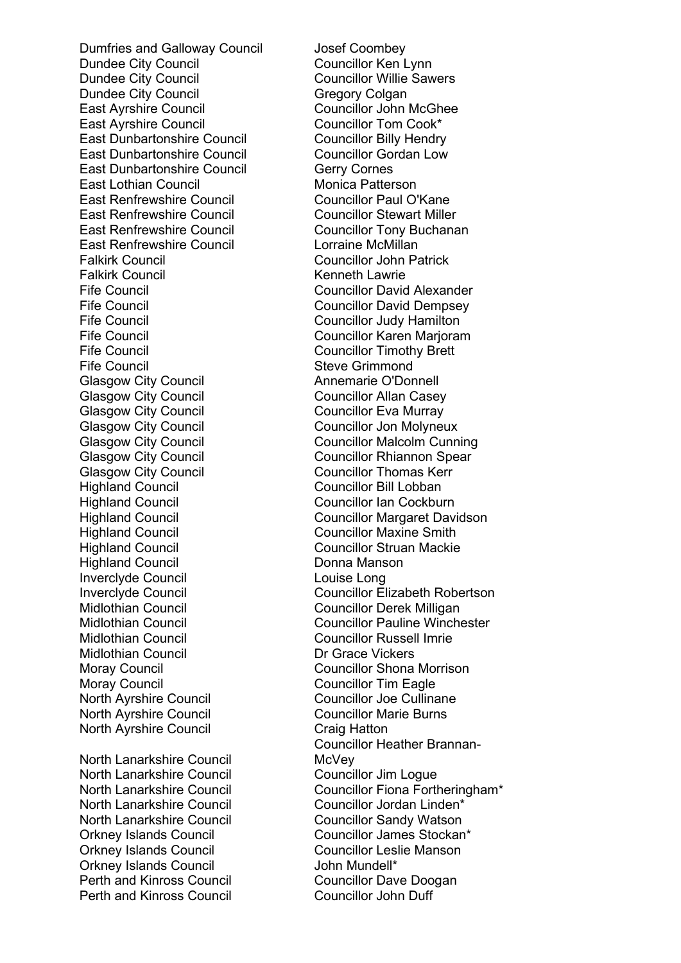Dumfries and Galloway Council *Josef Coombey*<br>
Dundee City Council **Dunce Councillor Ken Lynn** Dundee City Council<br>Dundee City Council Dundee City Council<br>East Ayrshire Council East Ayrshire Council **Councillor John McGhee**<br>East Avrshire Council Councillor Tom Cook\* East Dunbartonshire Council Councillor Billy Hendry East Dunbartonshire Council Councillor Gordan Low<br>
East Dunbartonshire Council Corry Cornes East Dunbartonshire Council Fast Dunbartonshire Council<br>East Lothian Council Gerry Monica Patterson **East Lothian Council** East Renfrewshire Council **Councillor Paul O'Kane** East Renfrewshire Council **Councillor Stewart Miller** East Renfrewshire Council **Councillor Tony Buchanan**<br>East Renfrewshire Council **Council** Lorraine McMillan East Renfrewshire Council Falkirk Council Councillor John Patrick Falkirk Council **Kenneth Lawrie** Fife Council **Council Councillor David Dempsey**<br>Fife Council Councillor Judy Hamilton Fife Council **Fife Council Councillor Judy Hamilton**<br>Fife Council **Councillor Councillor Karen Mariora** Fife Council **Councillor Timothy Brett** Fife Council<br>
Glasgow City Council<br>
Glasgow City Council<br>
Clasgow City Council<br>
Steve Grimmond<br>
Annemarie O'Donnell **Glasgow City Council** Glasgow City Council **Council Councillor Allan Casey**<br>Councillor Eva Murray Glasgow City Council **Councillor Eva Murray**<br>
Glasgow City Council **Councillor Jon Molyner** Glasgow City Council **Council Councillor Thomas Kerr**<br>Highland Council Council Councillor Bill Lobban Highland Council<br>
Highland Council<br>
Councillor lan Cockbu Highland Council **Exercise Smith Councillor Maxine Smith Councillor Maxine Smith**<br>Councillor Struan Mackie Highland Council **Example 20** Donna Manson Inverclyde Council<br>
Inverclyde Council<br>
Councillor El Midlothian Council **Council** Councillor Derek Milligan Midlothian Council **Midlothian Council** Midlothian Council **Dr Grace Vickers**<br>
Moray Council **Dr Grace Vickers** Moray Council<br>
North Avrshire Council<br>
North Avrshire Council<br>
Councillor Joe Cullinane North Ayrshire Council North Ayrshire Council Councillor Marie Burns North Ayrshire Council Craig Hatton North Lanarkshire Council North Lanarkshire Council **Councillor Jim Logue** 

North Lanarkshire Council Councillor Jordan Linden\* North Lanarkshire Council **Council Councillor Sandy Watson** Orkney Islands Council Councillor Leslie Manson Orkney Islands Council **Council** John Mundell\* Perth and Kinross Council **Councillor Dave Doogan** Perth and Kinross Council Councillor John Duff

Councillor Willie Sawers<br>Gregory Colgan Councillor Tom Cook\* Fife Council **Council** Councillor David Alexander Councillor Karen Marjoram **Councillor Jon Molyneux** Glasgow City Council **Councillor Malcolm Cunning**<br>Councillor Rhiannon Spear<br>Councillor Rhiannon Spear Councillor Rhiannon Spear **Councillor Ian Cockburn** Highland Council **Exercise Service Councillor Margaret Davidson**<br>Highland Council **Council** Councillor Maxine Smith **Councillor Struan Mackie Councillor Elizabeth Robertson** Midlothian Council Councillor Pauline Winchester **Councillor Shona Morrison** Councillor Heather Brannan-**McVev** North Lanarkshire Council **Councillor** Fiona Fortheringham\* Orkney Islands Council Councillor James Stockan\*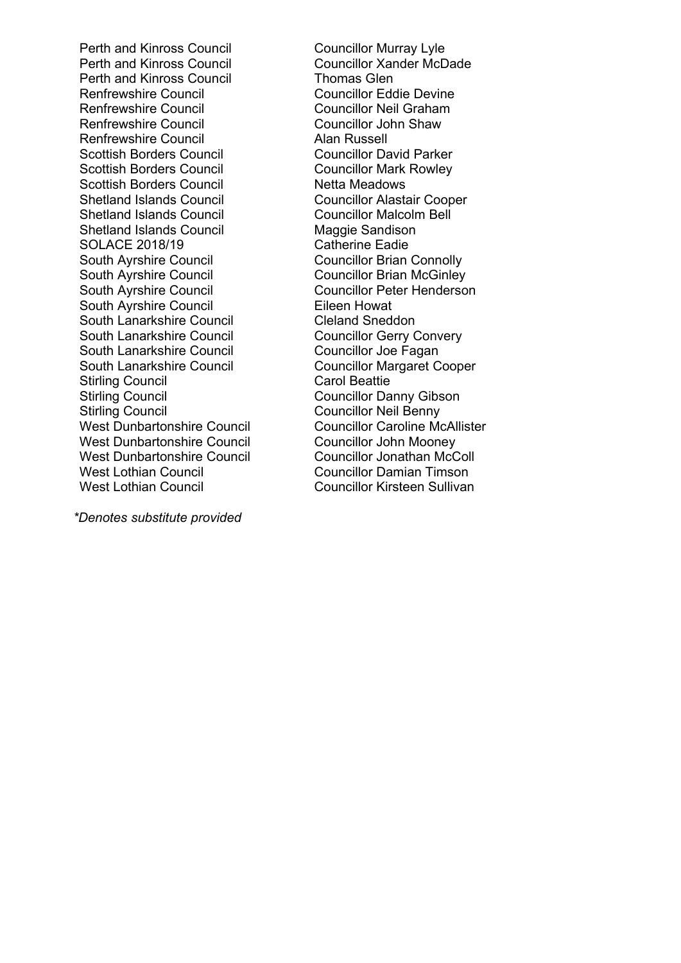Perth and Kinross Council Councillor Murray Lyle<br>Perth and Kinross Council Councillor Xander McD Perth and Kinross Council France Council Thomas Glen<br>Renfrewshire Council France Councillor Edu Renfrewshire Council and Councillor Eddie Devine<br>
Renfrewshire Council and Councillor Neil Graham Renfrewshire Council Renfrewshire Council **Alan Russell** Scottish Borders Council<br>
Scottish Borders Council<br>
Councillor Mark Rowley Scottish Borders Council<br>
Scottish Borders Council<br>
Netta Meadows Scottish Borders Council Shetland Islands Council **Councillor Alastair Cooper** Shetland Islands Council Councillor Malcolm Bell Shetland Islands Council **Maggie Sandison**<br>
SOLACE 2018/19 Catherine Eadie SOLACE 2018/19<br>
South Avrshire Council<br>
Councillor Brian Connolly South Ayrshire Council South Ayrshire Council Councillor Brian McGinley South Ayrshire Council Councillor Peter Henderson South Ayrshire Council **Eileen Howat**<br>
South Lanarkshire Council **Example 20** Cleland Sneddon South Lanarkshire Council<br>South Lanarkshire Council South Lanarkshire Council **Councillor Councillor** Joe Fagan South Lanarkshire Council **Council Councillor Margaret Cooper**<br>Stirling Council Carol Beattie **Stirling Council** Stirling Council **Councillor Danny Gibson** West Dunbartonshire Council West Dunbartonshire Council Councillor John Mooney<br>West Dunbartonshire Council Councillor Jonathan McC West Lothian Council **Council Councillor Damian Timson**<br>West Lothian Council Councillor Kirsteen Sullivan

*\*Denotes substitute provided*

Councillor Xander McDade Councillor Neil Graham<br>Councillor John Shaw **Councillor Gerry Convery** Stirling Council<br>
West Dunbartonshire Council<br>
Councillor Caroline McAllister Councillor Jonathan McColl Councillor Kirsteen Sullivan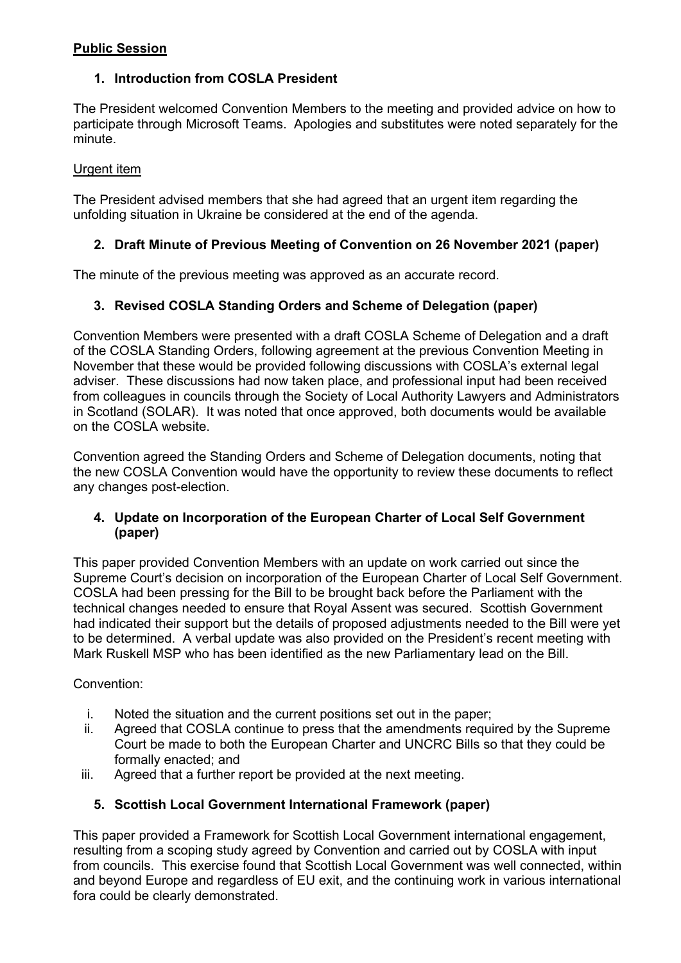### **Public Session**

# **1. Introduction from COSLA President**

The President welcomed Convention Members to the meeting and provided advice on how to participate through Microsoft Teams. Apologies and substitutes were noted separately for the minute.

### Urgent item

The President advised members that she had agreed that an urgent item regarding the unfolding situation in Ukraine be considered at the end of the agenda.

# **2. Draft Minute of Previous Meeting of Convention on 26 November 2021 (paper)**

The minute of the previous meeting was approved as an accurate record.

# **3. Revised COSLA Standing Orders and Scheme of Delegation (paper)**

Convention Members were presented with a draft COSLA Scheme of Delegation and a draft of the COSLA Standing Orders, following agreement at the previous Convention Meeting in November that these would be provided following discussions with COSLA's external legal adviser. These discussions had now taken place, and professional input had been received from colleagues in councils through the Society of Local Authority Lawyers and Administrators in Scotland (SOLAR). It was noted that once approved, both documents would be available on the COSLA website.

Convention agreed the Standing Orders and Scheme of Delegation documents, noting that the new COSLA Convention would have the opportunity to review these documents to reflect any changes post-election.

### **4. Update on Incorporation of the European Charter of Local Self Government (paper)**

This paper provided Convention Members with an update on work carried out since the Supreme Court's decision on incorporation of the European Charter of Local Self Government. COSLA had been pressing for the Bill to be brought back before the Parliament with the technical changes needed to ensure that Royal Assent was secured. Scottish Government had indicated their support but the details of proposed adjustments needed to the Bill were yet to be determined. A verbal update was also provided on the President's recent meeting with Mark Ruskell MSP who has been identified as the new Parliamentary lead on the Bill.

Convention:

- i. Noted the situation and the current positions set out in the paper;
- ii. Agreed that COSLA continue to press that the amendments required by the Supreme Court be made to both the European Charter and UNCRC Bills so that they could be formally enacted; and
- iii. Agreed that a further report be provided at the next meeting.

### **5. Scottish Local Government International Framework (paper)**

This paper provided a Framework for Scottish Local Government international engagement, resulting from a scoping study agreed by Convention and carried out by COSLA with input from councils. This exercise found that Scottish Local Government was well connected, within and beyond Europe and regardless of EU exit, and the continuing work in various international fora could be clearly demonstrated.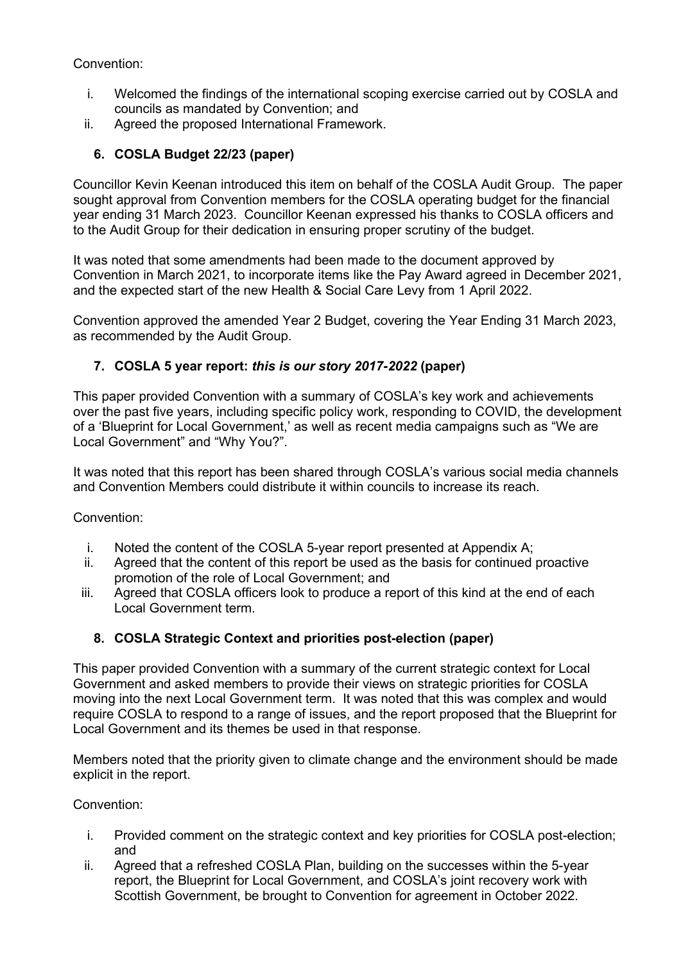Convention:

- i. Welcomed the findings of the international scoping exercise carried out by COSLA and councils as mandated by Convention; and
- ii. Agreed the proposed International Framework.

# **6. COSLA Budget 22/23 (paper)**

Councillor Kevin Keenan introduced this item on behalf of the COSLA Audit Group. The paper sought approval from Convention members for the COSLA operating budget for the financial year ending 31 March 2023. Councillor Keenan expressed his thanks to COSLA officers and to the Audit Group for their dedication in ensuring proper scrutiny of the budget.

It was noted that some amendments had been made to the document approved by Convention in March 2021, to incorporate items like the Pay Award agreed in December 2021, and the expected start of the new Health & Social Care Levy from 1 April 2022.

Convention approved the amended Year 2 Budget, covering the Year Ending 31 March 2023, as recommended by the Audit Group.

# **7. COSLA 5 year report:** *this is our story 2017-2022* **(paper)**

This paper provided Convention with a summary of COSLA's key work and achievements over the past five years, including specific policy work, responding to COVID, the development of a 'Blueprint for Local Government,' as well as recent media campaigns such as "We are Local Government" and "Why You?".

It was noted that this report has been shared through COSLA's various social media channels and Convention Members could distribute it within councils to increase its reach.

# Convention:

- i. Noted the content of the COSLA 5-year report presented at Appendix A;
- ii. Agreed that the content of this report be used as the basis for continued proactive promotion of the role of Local Government; and
- iii. Agreed that COSLA officers look to produce a report of this kind at the end of each Local Government term.

# **8. COSLA Strategic Context and priorities post-election (paper)**

This paper provided Convention with a summary of the current strategic context for Local Government and asked members to provide their views on strategic priorities for COSLA moving into the next Local Government term. It was noted that this was complex and would require COSLA to respond to a range of issues, and the report proposed that the Blueprint for Local Government and its themes be used in that response.

Members noted that the priority given to climate change and the environment should be made explicit in the report.

Convention:

- i. Provided comment on the strategic context and key priorities for COSLA post-election; and
- ii. Agreed that a refreshed COSLA Plan, building on the successes within the 5-year report, the Blueprint for Local Government, and COSLA's joint recovery work with Scottish Government, be brought to Convention for agreement in October 2022.